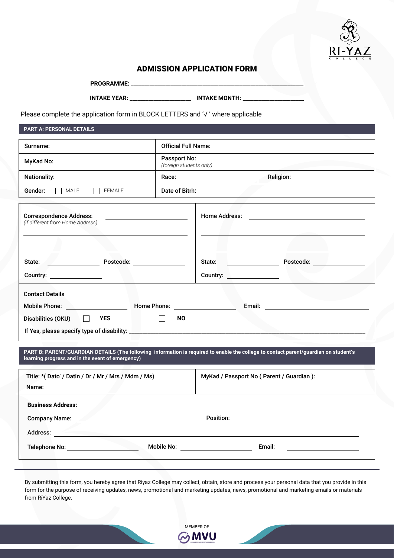

# ADMISSION APPLICATION FORM

PROGRAMME: \_

**INTAKE YEAR: \_\_\_\_\_\_\_\_\_\_\_\_\_\_\_\_\_\_\_\_\_\_\_ INTAKE MONTH: \_\_\_\_\_\_\_\_\_\_\_\_\_\_\_\_\_\_\_\_\_\_\_**

Please complete the application form in BLOCK LETTERS and '√ ' where applicable

**PART A: PERSONAL DETAILS**

| Surname:                                                                                             | <b>Official Full Name:</b>                     |                                                                                                                        |
|------------------------------------------------------------------------------------------------------|------------------------------------------------|------------------------------------------------------------------------------------------------------------------------|
| MyKad No:                                                                                            | <b>Passport No:</b><br>(foreign students only) |                                                                                                                        |
| <b>Nationality:</b>                                                                                  | Race:                                          | <b>Religion:</b>                                                                                                       |
| MATE<br><b>FEMALE</b><br>Gender:                                                                     | Date of Bitrh:                                 |                                                                                                                        |
| <b>Correspondence Address:</b><br>(if different from Home Address)                                   |                                                | Home Address: <u>______________________________</u><br>the contract of the contract of the contract of the contract of |
| Postcode: ______________                                                                             |                                                | Postcode:                                                                                                              |
| Country: _________________                                                                           | Country: ___________________                   |                                                                                                                        |
| <b>Contact Details</b><br>Mobile Phone: <u>www.community.com</u><br>Disabilities (OKU) $\Box$<br>YES | <b>NO</b>                                      |                                                                                                                        |

**PART B: PARENT/GUARDIAN DETAILS (The following information is required to enable the college to contact parent/guardian on student's learning progress and in the event of emergency)**

| Title: *(Dato' / Datin / Dr / Mr / Mrs / Mdm / Ms)<br>Name:         |            | MyKad / Passport No ( Parent / Guardian ): |
|---------------------------------------------------------------------|------------|--------------------------------------------|
| <b>Business Address:</b><br><b>Company Name:</b><br><b>Address:</b> |            | Position:                                  |
| <b>Telephone No:</b>                                                | Mobile No: | Email:                                     |

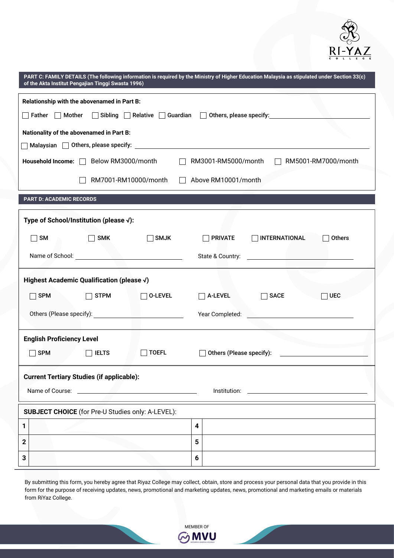

| PART C: FAMILY DETAILS (The following information is required by the Ministry of Higher Education Malaysia as stipulated under Section 33(c)<br>of the Akta Institut Pengajian Tinggi Swasta 1996) |                                                                                     |  |  |  |
|----------------------------------------------------------------------------------------------------------------------------------------------------------------------------------------------------|-------------------------------------------------------------------------------------|--|--|--|
| Relationship with the abovenamed in Part B:<br>◯ Sibling │ Relative │ Guardian │ Others, please specify: △ Distance 10: 01<br>$\Box$ Father $\Box$ Mother                                          |                                                                                     |  |  |  |
| Nationality of the abovenamed in Part B:                                                                                                                                                           |                                                                                     |  |  |  |
| Malaysian $\Box$ Others, please specify: $\Box$                                                                                                                                                    |                                                                                     |  |  |  |
| Household Income:   Below RM3000/month                                                                                                                                                             | RM3001-RM5000/month<br>RM5001-RM7000/month                                          |  |  |  |
| RM7001-RM10000/month<br>Above RM10001/month                                                                                                                                                        |                                                                                     |  |  |  |
| <b>PART D: ACADEMIC RECORDS</b>                                                                                                                                                                    |                                                                                     |  |  |  |
| Type of School/Institution (please √):                                                                                                                                                             |                                                                                     |  |  |  |
| SM<br><b>SMJK</b><br><b>SMK</b>                                                                                                                                                                    | <b>PRIVATE</b><br><b>INTERNATIONAL</b><br><b>Others</b>                             |  |  |  |
|                                                                                                                                                                                                    | State & Country:<br>the control of the control of the control of                    |  |  |  |
| Highest Academic Qualification (please √)                                                                                                                                                          |                                                                                     |  |  |  |
| <b>STPM</b><br><b>SPM</b><br><b>O-LEVEL</b>                                                                                                                                                        | <b>SACE</b><br><b>UEC</b><br><b>A-LEVEL</b>                                         |  |  |  |
|                                                                                                                                                                                                    |                                                                                     |  |  |  |
| <b>English Proficiency Level</b>                                                                                                                                                                   |                                                                                     |  |  |  |
| <b>TOEFL</b><br><b>SPM</b><br><b>IELTS</b>                                                                                                                                                         | $\Box$ Others (Please specify):                                                     |  |  |  |
| <b>Current Tertiary Studies (if applicable):</b>                                                                                                                                                   |                                                                                     |  |  |  |
| Name of Course:<br><u> Alexander de la construcción de la construcción de la construcción de la construcción de la construcción de la </u>                                                         | Institution:<br><u> The Communication of the Communication of the Communication</u> |  |  |  |
| <b>SUBJECT CHOICE</b> (for Pre-U Studies only: A-LEVEL):                                                                                                                                           |                                                                                     |  |  |  |
| 1                                                                                                                                                                                                  | 4                                                                                   |  |  |  |
| 5<br>$\mathbf 2$                                                                                                                                                                                   |                                                                                     |  |  |  |
| 3                                                                                                                                                                                                  | 6                                                                                   |  |  |  |

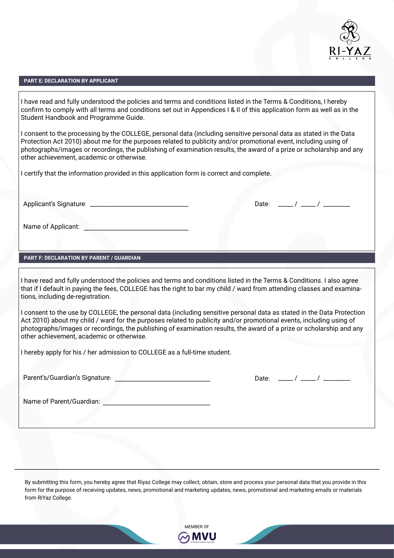

## **PART E: DECLARATION BY APPLICANT**

I have read and fully understood the policies and terms and conditions listed in the Terms & Conditions, I hereby confirm to comply with all terms and conditions set out in Appendices I & Il of this application form as well as in the Student Handbook and Programme Guide.

I consent to the processing by the COLLEGE, personal data (including sensitive personal data as stated in the Data Protection Act 2010) about me for the purposes related to publicity and/or promotional event, including using of photographs/images or recordings, the publishing of examination results, the award of a prize or scholarship and any other achievement, academic or otherwise.

I certify that the information provided in this application form is correct and complete.

Applicant's Signature: \_\_\_\_\_\_\_\_\_\_\_\_\_\_\_\_\_\_\_\_\_\_\_\_\_\_\_\_\_\_\_\_\_ \_\_\_\_\_ / \_\_\_\_\_ / \_\_\_\_\_\_\_\_\_

Name of Applicant: \_\_\_\_\_\_\_\_\_\_\_\_\_\_\_\_\_\_\_\_\_\_\_\_\_\_\_\_\_\_\_\_\_\_\_

# **PART F: DECLARATION BY PARENT / GUARDIAN**

I have read and fully understood the policies and terms and conditions listed in the Terms & Conditions. I also agree that if I default in paying the fees, COLLEGE has the right to bar my child / ward from attending classes and examinations, including de-registration.

I consent to the use by COLLEGE, the personal data (including sensitive personal data as stated in the Data Protection Act 2010) about my child / ward for the purposes related to publicity and/or promotional events, including using of photographs/images or recordings, the publishing of examination results, the award of a prize or scholarship and any other achievement, academic or otherwise.

I hereby apply for his / her admission to COLLEGE as a full-time student.

Parent's/Guardian's Signature: \_\_\_\_\_\_\_\_\_\_\_\_\_\_\_\_\_\_\_\_\_\_\_\_\_\_\_\_\_\_\_\_

Date: \_\_\_\_\_ / \_\_\_\_\_ / \_\_\_\_\_\_\_\_\_

Date:  $\frac{1}{2}$  /  $\frac{1}{2}$  /  $\frac{1}{2}$ 

Name of Parent/Guardian:

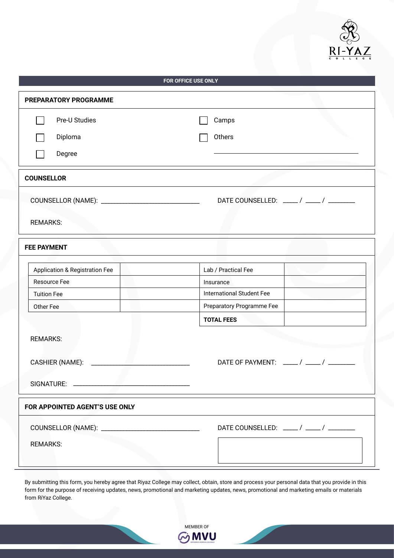

| <b>FOR OFFICE USE ONLY</b>                |                                  |  |  |
|-------------------------------------------|----------------------------------|--|--|
| PREPARATORY PROGRAMME                     |                                  |  |  |
| Pre-U Studies                             | Camps                            |  |  |
| Diploma                                   | Others                           |  |  |
| Degree                                    |                                  |  |  |
|                                           |                                  |  |  |
| <b>COUNSELLOR</b>                         |                                  |  |  |
|                                           |                                  |  |  |
|                                           |                                  |  |  |
| <b>REMARKS:</b>                           |                                  |  |  |
| <b>FEE PAYMENT</b>                        |                                  |  |  |
| <b>Application &amp; Registration Fee</b> | Lab / Practical Fee              |  |  |
| Resource Fee                              | Insurance                        |  |  |
| <b>Tuition Fee</b>                        | <b>International Student Fee</b> |  |  |
| Other Fee                                 | Preparatory Programme Fee        |  |  |
|                                           | <b>TOTAL FEES</b>                |  |  |
| <b>REMARKS:</b>                           |                                  |  |  |
|                                           |                                  |  |  |
| CASHIER (NAME): _________                 |                                  |  |  |
|                                           |                                  |  |  |
|                                           |                                  |  |  |
| FOR APPOINTED AGENT'S USE ONLY            |                                  |  |  |
|                                           |                                  |  |  |
| <b>REMARKS:</b>                           |                                  |  |  |
|                                           |                                  |  |  |

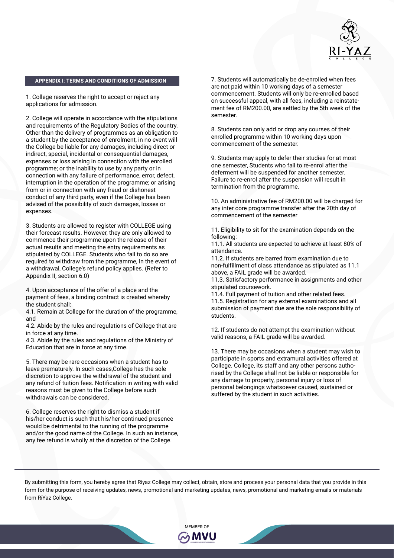

#### **APPENDIX I: TERMS AND CONDITIONS OF ADMISSION**

1. College reserves the right to accept or reject any applications for admission.

2. College will operate in accordance with the stipulations and requirements of the Regulatory Bodies of the country. Other than the delivery of programmes as an obligation to a student by the acceptance of enrolment, in no event will the College be liable for any damages, including direct or indirect, special, incidental or consequential damages, expenses or loss arising in connection with the enrolled programme; or the inability to use by any party or in connection with any failure of performance, error, defect, interruption in the operation of the programme; or arising from or in connection with any fraud or dishonest conduct of any third party, even if the College has been advised of the possibility of such damages, losses or expenses.

3. Students are allowed to register with COLLEGE using their forecast results. However, they are only allowed to commence their programme upon the release of their actual results and meeting the entry requirements as stipulated by COLLEGE. Students who fail to do so are required to withdraw from the programme, In the event of a withdrawal, College's refund policy applies. (Refer to Appendix II, section 6.0)

4. Upon acceptance of the offer of a place and the payment of fees, a binding contract is created whereby the student shall:

4.1. Remain at College for the duration of the programme, and

4.2. Abide by the rules and regulations of College that are in force at any time.

4.3. Abide by the rules and regulations of the Ministry of Education that are in force at any time.

5. There may be rare occasions when a student has to leave prematurely. In such cases,College has the sole discretion to approve the withdrawal of the student and any refund of tuition fees. Notification in writing with valid reasons must be given to the College before such withdrawals can be considered.

6. College reserves the right to dismiss a student if his/her conduct is such that his/her continued presence would be detrimental to the running of the programme and/or the good name of the College. In such an instance, any fee refund is wholly at the discretion of the College.

7. Students will automatically be de-enrolled when fees are not paid within 10 working days of a semester commencement. Students will only be re-enrolled based on successful appeal, with all fees, including a reinstatement fee of RM200.00, are settled by the 5th week of the semester.

8. Students can only add or drop any courses of their enrolled programme within 10 working days upon commencement of the semester.

9. Students may apply to defer their studies for at most one semester, Students who fail to re-enrol after the deferment will be suspended for another semester. Failure to re-enrol after the suspension will result in termination from the programme.

10. An administrative fee of RM200.00 will be charged for any inter core programme transfer after the 20th day of commencement of the semester

11. Eligibility to sit for the examination depends on the following:

11.1. All students are expected to achieve at least 80% of attendance.

11.2. If students are barred from examination due to non-fulfillment of class attendance as stipulated as 11.1 above, a FAIL grade will be awarded.

11.3. Satisfactory performance in assignments and other stipulated coursework.

11.4. Full payment of tuition and other related fees. 11.5. Registration for any external examinations and all submission of payment due are the sole responsibility of students.

12. If students do not attempt the examination without valid reasons, a FAIL grade will be awarded.

13. There may be occasions when a student may wish to participate in sports and extramural activities offered at College. College, its staff and any other persons authorised by the College shall not be liable or responsible for any damage to property, personal injury or loss of personal belongings whatsoever caused, sustained or suffered by the student in such activities.